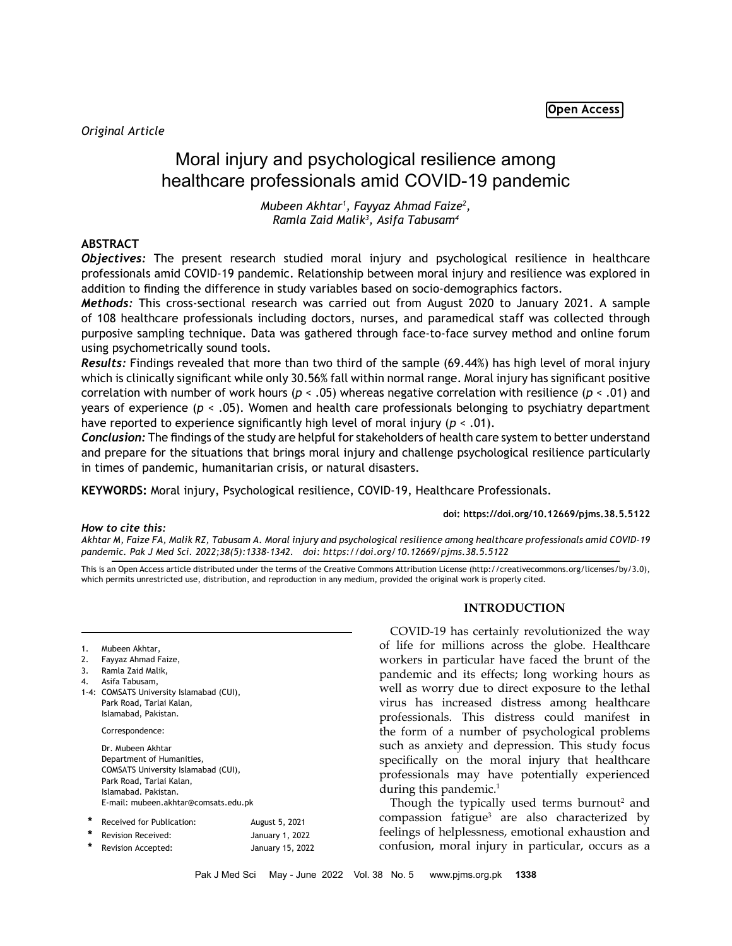# Moral injury and psychological resilience among healthcare professionals amid COVID-19 pandemic

*Mubeen Akhtar1 , Fayyaz Ahmad Faize2 , Ramla Zaid Malik3 , Asifa Tabusam4*

# **ABSTRACT**

*Objectives:* The present research studied moral injury and psychological resilience in healthcare professionals amid COVID-19 pandemic. Relationship between moral injury and resilience was explored in addition to finding the difference in study variables based on socio-demographics factors.

*Methods:* This cross-sectional research was carried out from August 2020 to January 2021. A sample of 108 healthcare professionals including doctors, nurses, and paramedical staff was collected through purposive sampling technique. Data was gathered through face-to-face survey method and online forum using psychometrically sound tools.

*Results:* Findings revealed that more than two third of the sample (69.44%) has high level of moral injury which is clinically significant while only 30.56% fall within normal range. Moral injury has significant positive correlation with number of work hours (*p* < .05) whereas negative correlation with resilience (*p* < .01) and years of experience (*p* < .05). Women and health care professionals belonging to psychiatry department have reported to experience significantly high level of moral injury (*p* < .01).

*Conclusion:* The findings of the study are helpful for stakeholders of health care system to better understand and prepare for the situations that brings moral injury and challenge psychological resilience particularly in times of pandemic, humanitarian crisis, or natural disasters.

**KEYWORDS:** Moral injury, Psychological resilience, COVID-19, Healthcare Professionals.

### **doi: https://doi.org/10.12669/pjms.38.5.5122**

### *How to cite this:*

*Akhtar M, Faize FA, Malik RZ, Tabusam A. Moral injury and psychological resilience among healthcare professionals amid COVID-19 pandemic. Pak J Med Sci. 2022;38(5):1338-1342. doi: https://doi.org/10.12669/pjms.38.5.5122*

This is an Open Access article distributed under the terms of the Creative Commons Attribution License (http://creativecommons.org/licenses/by/3.0), which permits unrestricted use, distribution, and reproduction in any medium, provided the original work is properly cited.

| 1. | Mubeen Akhtar, |  |
|----|----------------|--|
|----|----------------|--|

<sup>2.</sup> Fayyaz Ahmad Faize,

- 4. Asifa Tabusam,
- 1-4: COMSATS University Islamabad (CUI), Park Road, Tarlai Kalan, Islamabad, Pakistan.

Correspondence:

Dr. Mubeen Akhtar Department of Humanities, COMSATS University Islamabad (CUI), Park Road, Tarlai Kalan, Islamabad. Pakistan. E-mail: [mubeen.akhtar@comsats.edu.pk](mailto:mubeen.akhtar@comsats.edu.pk)

| Received for Publication: | August 5, 2021   |
|---------------------------|------------------|
| Revision Received:        | January 1, 2022  |
| Revision Accepted:        | January 15, 2022 |

# **INTRODUCTION**

COVID-19 has certainly revolutionized the way of life for millions across the globe. Healthcare workers in particular have faced the brunt of the pandemic and its effects; long working hours as well as worry due to direct exposure to the lethal virus has increased distress among healthcare professionals. This distress could manifest in the form of a number of psychological problems such as anxiety and depression. This study focus specifically on the moral injury that healthcare professionals may have potentially experienced during this pandemic.<sup>1</sup>

Though the typically used terms burnout<sup>2</sup> and compassion fatigue3 are also characterized by feelings of helplessness, emotional exhaustion and confusion, moral injury in particular, occurs as a

<sup>3.</sup> Ramla Zaid Malik,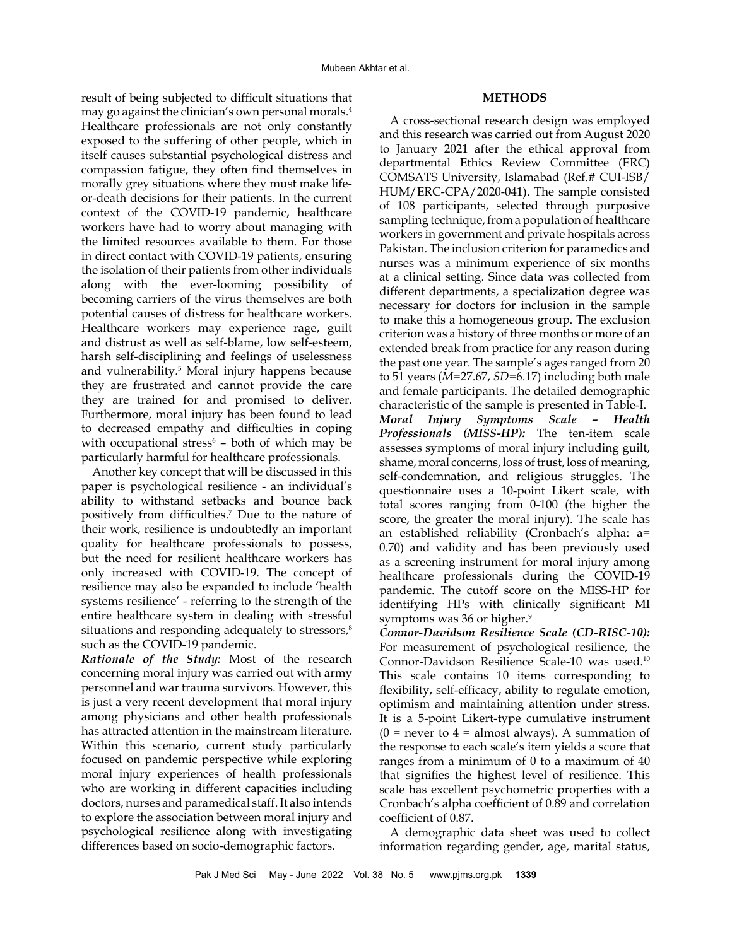# **METHODS**

result of being subjected to difficult situations that may go against the clinician's own personal morals.4 Healthcare professionals are not only constantly exposed to the suffering of other people, which in itself causes substantial psychological distress and compassion fatigue, they often find themselves in morally grey situations where they must make lifeor-death decisions for their patients. In the current context of the COVID-19 pandemic, healthcare workers have had to worry about managing with the limited resources available to them. For those in direct contact with COVID-19 patients, ensuring the isolation of their patients from other individuals along with the ever-looming possibility of becoming carriers of the virus themselves are both potential causes of distress for healthcare workers. Healthcare workers may experience rage, guilt and distrust as well as self-blame, low self-esteem, harsh self-disciplining and feelings of uselessness and vulnerability.5 Moral injury happens because they are frustrated and cannot provide the care they are trained for and promised to deliver. Furthermore, moral injury has been found to lead to decreased empathy and difficulties in coping with occupational stress $6$  – both of which may be particularly harmful for healthcare professionals.

Another key concept that will be discussed in this paper is psychological resilience - an individual's ability to withstand setbacks and bounce back positively from difficulties.<sup>7</sup> Due to the nature of their work, resilience is undoubtedly an important quality for healthcare professionals to possess, but the need for resilient healthcare workers has only increased with COVID-19. The concept of resilience may also be expanded to include 'health systems resilience' - referring to the strength of the entire healthcare system in dealing with stressful situations and responding adequately to stressors,<sup>8</sup> such as the COVID-19 pandemic.

*Rationale of the Study:* Most of the research concerning moral injury was carried out with army personnel and war trauma survivors. However, this is just a very recent development that moral injury among physicians and other health professionals has attracted attention in the mainstream literature. Within this scenario, current study particularly focused on pandemic perspective while exploring moral injury experiences of health professionals who are working in different capacities including doctors, nurses and paramedical staff. It also intends to explore the association between moral injury and psychological resilience along with investigating differences based on socio-demographic factors.

A cross-sectional research design was employed and this research was carried out from August 2020 to January 2021 after the ethical approval from departmental Ethics Review Committee (ERC) COMSATS University, Islamabad (Ref.# CUI-ISB/ HUM/ERC-CPA/2020-041). The sample consisted of 108 participants, selected through purposive sampling technique, from a population of healthcare workers in government and private hospitals across Pakistan. The inclusion criterion for paramedics and nurses was a minimum experience of six months at a clinical setting. Since data was collected from different departments, a specialization degree was necessary for doctors for inclusion in the sample to make this a homogeneous group. The exclusion criterion was a history of three months or more of an extended break from practice for any reason during the past one year. The sample's ages ranged from 20 to 51 years (*M*=27.67, *SD*=6.17) including both male and female participants. The detailed demographic characteristic of the sample is presented in Table-I.

*Moral Injury Symptoms Scale – Health Professionals (MISS-HP):* The ten-item scale assesses symptoms of moral injury including guilt, shame, moral concerns, loss of trust, loss of meaning, self-condemnation, and religious struggles. The questionnaire uses a 10-point Likert scale, with total scores ranging from 0-100 (the higher the score, the greater the moral injury). The scale has an established reliability (Cronbach's alpha: a= 0.70) and validity and has been previously used as a screening instrument for moral injury among healthcare professionals during the COVID-19 pandemic. The cutoff score on the MISS-HP for identifying HPs with clinically significant MI symptoms was 36 or higher.<sup>9</sup>

*Connor-Davidson Resilience Scale (CD-RISC-10):*  For measurement of psychological resilience, the Connor-Davidson Resilience Scale-10 was used.10 This scale contains 10 items corresponding to flexibility, self-efficacy, ability to regulate emotion, optimism and maintaining attention under stress. It is a 5-point Likert-type cumulative instrument  $(0 =$  never to  $4 =$  almost always). A summation of the response to each scale's item yields a score that ranges from a minimum of 0 to a maximum of 40 that signifies the highest level of resilience. This scale has excellent psychometric properties with a Cronbach's alpha coefficient of 0.89 and correlation coefficient of 0.87.

A demographic data sheet was used to collect information regarding gender, age, marital status,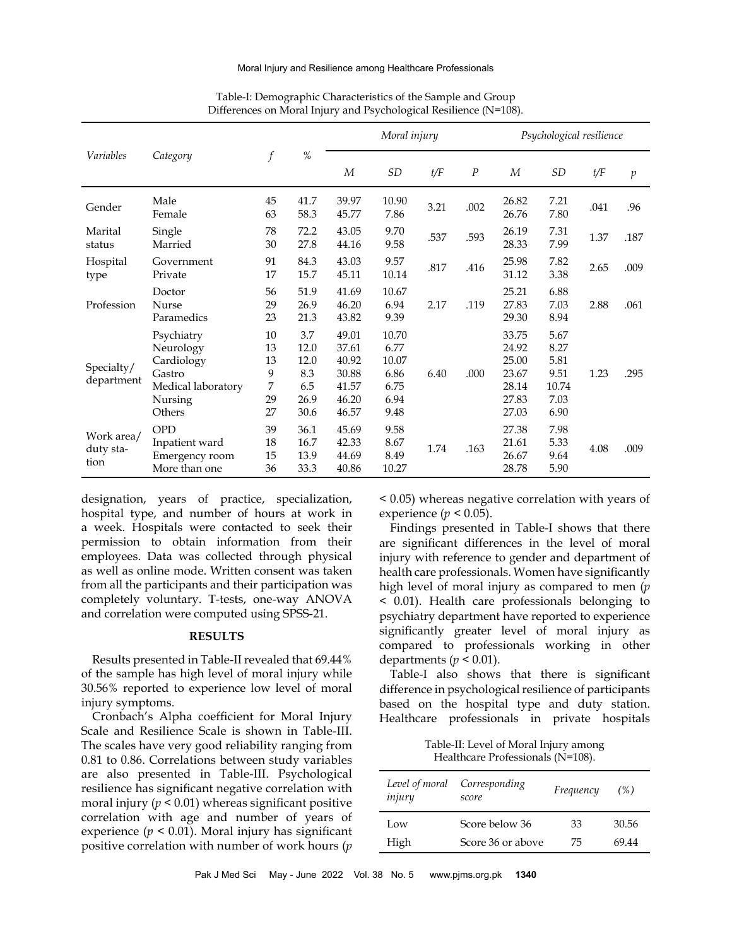#### Moral Injury and Resilience among Healthcare Professionals

|                                 | Category                                                                                   | $\boldsymbol{f}$                     | $\%$                                              | Moral injury                                                |                                                        |      |          | Psychological resilience                                    |                                                       |      |         |
|---------------------------------|--------------------------------------------------------------------------------------------|--------------------------------------|---------------------------------------------------|-------------------------------------------------------------|--------------------------------------------------------|------|----------|-------------------------------------------------------------|-------------------------------------------------------|------|---------|
| Variables                       |                                                                                            |                                      |                                                   | M                                                           | SD                                                     | t/F  | $\cal P$ | M                                                           | <b>SD</b>                                             | t/F  | $\,p\,$ |
| Gender                          | Male<br>Female                                                                             | 45<br>63                             | 41.7<br>58.3                                      | 39.97<br>45.77                                              | 10.90<br>7.86                                          | 3.21 | .002     | 26.82<br>26.76                                              | 7.21<br>7.80                                          | .041 | .96     |
| Marital<br>status               | Single<br>Married                                                                          | 78<br>30                             | 72.2<br>27.8                                      | 43.05<br>44.16                                              | 9.70<br>9.58                                           | .537 | .593     | 26.19<br>28.33                                              | 7.31<br>7.99                                          | 1.37 | .187    |
| Hospital<br>type                | Government<br>Private                                                                      | 91<br>17                             | 84.3<br>15.7                                      | 43.03<br>45.11                                              | 9.57<br>10.14                                          | .817 | .416     | 25.98<br>31.12                                              | 7.82<br>3.38                                          | 2.65 | .009    |
| Profession                      | Doctor<br>Nurse<br>Paramedics                                                              | 56<br>29<br>23                       | 51.9<br>26.9<br>21.3                              | 41.69<br>46.20<br>43.82                                     | 10.67<br>6.94<br>9.39                                  | 2.17 | .119     | 25.21<br>27.83<br>29.30                                     | 6.88<br>7.03<br>8.94                                  | 2.88 | .061    |
| Specialty/<br>department        | Psychiatry<br>Neurology<br>Cardiology<br>Gastro<br>Medical laboratory<br>Nursing<br>Others | 10<br>13<br>13<br>9<br>7<br>29<br>27 | 3.7<br>12.0<br>12.0<br>8.3<br>6.5<br>26.9<br>30.6 | 49.01<br>37.61<br>40.92<br>30.88<br>41.57<br>46.20<br>46.57 | 10.70<br>6.77<br>10.07<br>6.86<br>6.75<br>6.94<br>9.48 | 6.40 | .000     | 33.75<br>24.92<br>25.00<br>23.67<br>28.14<br>27.83<br>27.03 | 5.67<br>8.27<br>5.81<br>9.51<br>10.74<br>7.03<br>6.90 | 1.23 | .295    |
| Work area/<br>duty sta-<br>tion | <b>OPD</b><br>Inpatient ward<br>Emergency room<br>More than one                            | 39<br>18<br>15<br>36                 | 36.1<br>16.7<br>13.9<br>33.3                      | 45.69<br>42.33<br>44.69<br>40.86                            | 9.58<br>8.67<br>8.49<br>10.27                          | 1.74 | .163     | 27.38<br>21.61<br>26.67<br>28.78                            | 7.98<br>5.33<br>9.64<br>5.90                          | 4.08 | .009    |

# Table-I: Demographic Characteristics of the Sample and Group Differences on Moral Injury and Psychological Resilience (N=108).

designation, years of practice, specialization, hospital type, and number of hours at work in a week. Hospitals were contacted to seek their permission to obtain information from their employees. Data was collected through physical as well as online mode. Written consent was taken from all the participants and their participation was completely voluntary. T-tests, one-way ANOVA and correlation were computed using SPSS-21.

# **RESULTS**

Results presented in Table-II revealed that 69.44% of the sample has high level of moral injury while 30.56% reported to experience low level of moral injury symptoms.

Cronbach's Alpha coefficient for Moral Injury Scale and Resilience Scale is shown in Table-III. The scales have very good reliability ranging from 0.81 to 0.86. Correlations between study variables are also presented in Table-III. Psychological resilience has significant negative correlation with moral injury  $(p < 0.01)$  whereas significant positive correlation with age and number of years of experience  $(p < 0.01)$ . Moral injury has significant positive correlation with number of work hours (*p*

< 0.05) whereas negative correlation with years of experience ( $p < 0.05$ ).

Findings presented in Table-I shows that there are significant differences in the level of moral injury with reference to gender and department of health care professionals. Women have significantly high level of moral injury as compared to men (*p* < 0.01). Health care professionals belonging to psychiatry department have reported to experience significantly greater level of moral injury as compared to professionals working in other departments ( $p < 0.01$ ).

Table-I also shows that there is significant difference in psychological resilience of participants based on the hospital type and duty station. Healthcare professionals in private hospitals

| Table-II: Level of Moral Injury among |
|---------------------------------------|
| Healthcare Professionals (N=108).     |

| Level of moral<br>injury | Corresponding<br>score | Frequency | (%)   |  |
|--------------------------|------------------------|-----------|-------|--|
| Low                      | Score below 36         | 33        | 30.56 |  |
| High                     | Score 36 or above      | 75        | 69.44 |  |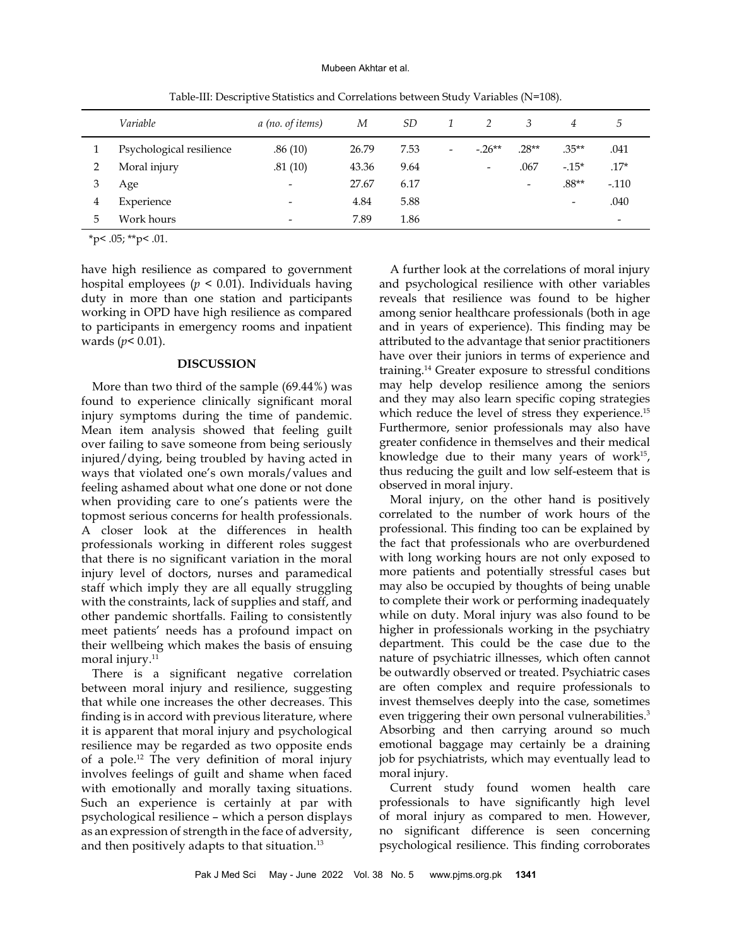#### Mubeen Akhtar et al.

|   | Variable                 | a (no. of items)         | М     | <i>SD</i> |                          |                          | 3                        | 4                        | $\mathcal{D}$            |
|---|--------------------------|--------------------------|-------|-----------|--------------------------|--------------------------|--------------------------|--------------------------|--------------------------|
|   | Psychological resilience | .86(10)                  | 26.79 | 7.53      | $\overline{\phantom{a}}$ | $-26**$                  | $.28**$                  | $.35**$                  | .041                     |
| ּ | Moral injury             | .81(10)                  | 43.36 | 9.64      |                          | $\overline{\phantom{a}}$ | .067                     | $-15*$                   | $.17*$                   |
| 3 | Age                      | $\overline{\phantom{0}}$ | 27.67 | 6.17      |                          |                          | $\overline{\phantom{a}}$ | $.88**$                  | $-.110$                  |
| 4 | Experience               | $\overline{\phantom{a}}$ | 4.84  | 5.88      |                          |                          |                          | $\overline{\phantom{a}}$ | .040                     |
| 5 | Work hours               | $\overline{\phantom{0}}$ | 7.89  | 1.86      |                          |                          |                          |                          | $\overline{\phantom{a}}$ |

Table-III: Descriptive Statistics and Correlations between Study Variables (N=108).

 $*$ p< .05;  $*$  $*$ p< .01.

have high resilience as compared to government hospital employees ( $p < 0.01$ ). Individuals having duty in more than one station and participants working in OPD have high resilience as compared to participants in emergency rooms and inpatient wards (*p*< 0.01).

#### **DISCUSSION**

More than two third of the sample (69.44%) was found to experience clinically significant moral injury symptoms during the time of pandemic. Mean item analysis showed that feeling guilt over failing to save someone from being seriously injured/dying, being troubled by having acted in ways that violated one's own morals/values and feeling ashamed about what one done or not done when providing care to one's patients were the topmost serious concerns for health professionals. A closer look at the differences in health professionals working in different roles suggest that there is no significant variation in the moral injury level of doctors, nurses and paramedical staff which imply they are all equally struggling with the constraints, lack of supplies and staff, and other pandemic shortfalls. Failing to consistently meet patients' needs has a profound impact on their wellbeing which makes the basis of ensuing moral injury.<sup>11</sup>

There is a significant negative correlation between moral injury and resilience, suggesting that while one increases the other decreases. This finding is in accord with previous literature, where it is apparent that moral injury and psychological resilience may be regarded as two opposite ends of a pole.12 The very definition of moral injury involves feelings of guilt and shame when faced with emotionally and morally taxing situations. Such an experience is certainly at par with psychological resilience – which a person displays as an expression of strength in the face of adversity, and then positively adapts to that situation.13

A further look at the correlations of moral injury and psychological resilience with other variables reveals that resilience was found to be higher among senior healthcare professionals (both in age and in years of experience). This finding may be attributed to the advantage that senior practitioners have over their juniors in terms of experience and training.14 Greater exposure to stressful conditions may help develop resilience among the seniors and they may also learn specific coping strategies which reduce the level of stress they experience.<sup>15</sup> Furthermore, senior professionals may also have greater confidence in themselves and their medical knowledge due to their many years of work $15$ , thus reducing the guilt and low self-esteem that is observed in moral injury.

Moral injury, on the other hand is positively correlated to the number of work hours of the professional. This finding too can be explained by the fact that professionals who are overburdened with long working hours are not only exposed to more patients and potentially stressful cases but may also be occupied by thoughts of being unable to complete their work or performing inadequately while on duty. Moral injury was also found to be higher in professionals working in the psychiatry department. This could be the case due to the nature of psychiatric illnesses, which often cannot be outwardly observed or treated. Psychiatric cases are often complex and require professionals to invest themselves deeply into the case, sometimes even triggering their own personal vulnerabilities.<sup>3</sup> Absorbing and then carrying around so much emotional baggage may certainly be a draining job for psychiatrists, which may eventually lead to moral injury.

Current study found women health care professionals to have significantly high level of moral injury as compared to men. However, no significant difference is seen concerning psychological resilience. This finding corroborates